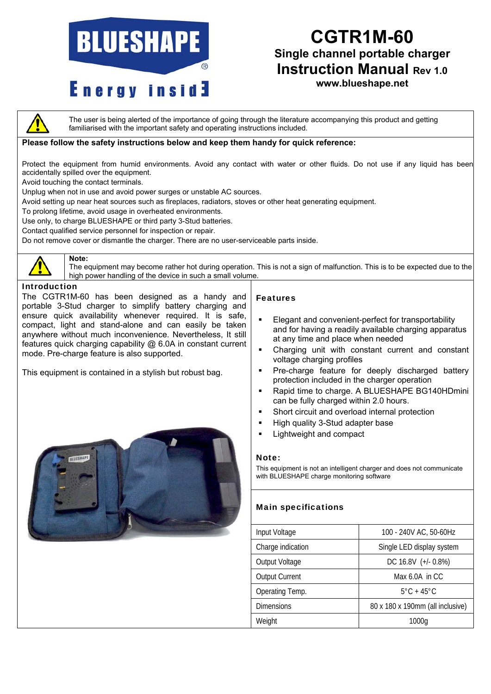# **BLUESHAPE**

# **Energy inside**

### **CGTR1M-60 Single channel portable charger Instruction Manual Rev 1.0**

**www.blueshape.net**

The user is being alerted of the importance of going through the literature accompanying this product and getting familiarised with the important safety and operating instructions included.

#### **Please follow the safety instructions below and keep them handy for quick reference:**

Protect the equipment from humid environments. Avoid any contact with water or other fluids. Do not use if any liquid has been accidentally spilled over the equipment.

Avoid touching the contact terminals.

Unplug when not in use and avoid power surges or unstable AC sources.

Avoid setting up near heat sources such as fireplaces, radiators, stoves or other heat generating equipment.

To prolong lifetime, avoid usage in overheated environments.

Use only, to charge BLUESHAPE or third party 3-Stud batteries.

Contact qualified service personnel for inspection or repair.

Do not remove cover or dismantle the charger. There are no user-serviceable parts inside.



#### **Note:**

The equipment may become rather hot during operation. This is not a sign of malfunction. This is to be expected due to the high power handling of the device in such a small volume.

#### Introduction

The CGTR1M-60 has been designed as a handy and portable 3-Stud charger to simplify battery charging and ensure quick availability whenever required. It is safe, compact, light and stand-alone and can easily be taken anywhere without much inconvenience. Nevertheless, It still features quick charging capability @ 6.0A in constant current mode. Pre-charge feature is also supported.

This equipment is contained in a stylish but robust bag.



#### Features

- Elegant and convenient-perfect for transportability and for having a readily available charging apparatus at any time and place when needed
- Charging unit with constant current and constant voltage charging profiles
- Pre-charge feature for deeply discharged battery protection included in the charger operation
- Rapid time to charge. A BLUESHAPE BG140HDmini can be fully charged within 2.0 hours.
- **Short circuit and overload internal protection**
- High quality 3-Stud adapter base
- Lightweight and compact

#### Note:

This equipment is not an intelligent charger and does not communicate with BLUESHAPE charge monitoring software

#### Main specifications

| Input Voltage         | 100 - 240V AC, 50-60Hz           |
|-----------------------|----------------------------------|
| Charge indication     | Single LED display system        |
| Output Voltage        | DC 16.8V (+/- 0.8%)              |
| <b>Output Current</b> | Max $6.0A$ in CC                 |
| Operating Temp.       | $5^{\circ}$ C + 45 $^{\circ}$ C  |
| <b>Dimensions</b>     | 80 x 180 x 190mm (all inclusive) |
| Weight                | 1000a                            |